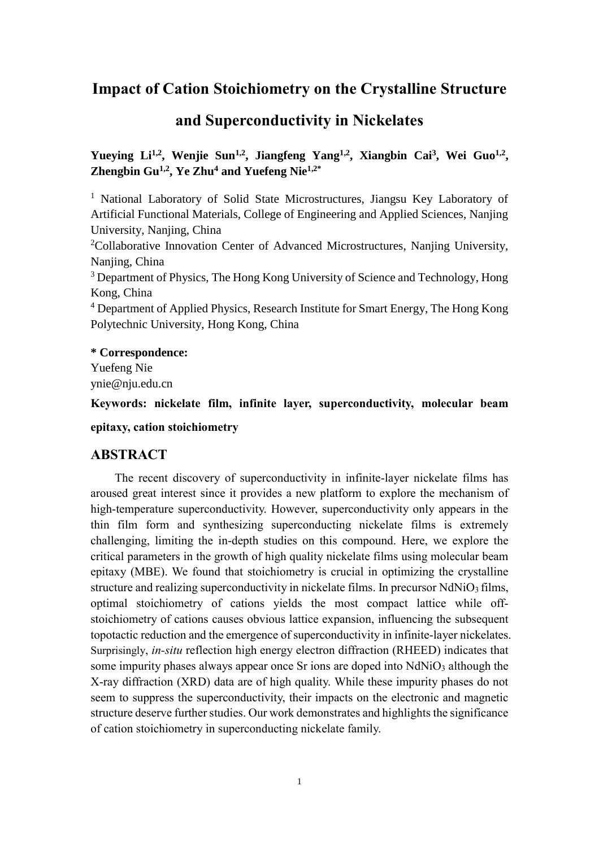## **Impact of Cation Stoichiometry on the Crystalline Structure**

## **and Superconductivity in Nickelates**

Yueying Li<sup>1,2</sup>, Wenjie Sun<sup>1,2</sup>, Jiangfeng Yang<sup>1,2</sup>, Xiangbin Cai<sup>3</sup>, Wei Guo<sup>1,2</sup>, **Zhengbin Gu1,2 , Ye Zhu<sup>4</sup> and Yuefeng Nie1,2\***

<sup>1</sup> National Laboratory of Solid State Microstructures, Jiangsu Key Laboratory of Artificial Functional Materials, College of Engineering and Applied Sciences, Nanjing University, Nanjing, China

<sup>2</sup>Collaborative Innovation Center of Advanced Microstructures, Nanjing University, Nanjing, China

<sup>3</sup> Department of Physics, The Hong Kong University of Science and Technology, Hong Kong, China

<sup>4</sup> Department of Applied Physics, Research Institute for Smart Energy, The Hong Kong Polytechnic University, Hong Kong, China

### **\* Correspondence:**

Yuefeng Nie ynie@nju.edu.cn

**Keywords: nickelate film, infinite layer, superconductivity, molecular beam epitaxy, cation stoichiometry**

### **ABSTRACT**

The recent discovery of superconductivity in infinite-layer nickelate films has aroused great interest since it provides a new platform to explore the mechanism of high-temperature superconductivity. However, superconductivity only appears in the thin film form and synthesizing superconducting nickelate films is extremely challenging, limiting the in-depth studies on this compound. Here, we explore the critical parameters in the growth of high quality nickelate films using molecular beam epitaxy (MBE). We found that stoichiometry is crucial in optimizing the crystalline structure and realizing superconductivity in nickelate films. In precursor NdNiO<sub>3</sub> films, optimal stoichiometry of cations yields the most compact lattice while offstoichiometry of cations causes obvious lattice expansion, influencing the subsequent topotactic reduction and the emergence of superconductivity in infinite-layer nickelates. Surprisingly, *in-situ* reflection high energy electron diffraction (RHEED) indicates that some impurity phases always appear once Sr ions are doped into NdNiO<sub>3</sub> although the X-ray diffraction (XRD) data are of high quality. While these impurity phases do not seem to suppress the superconductivity, their impacts on the electronic and magnetic structure deserve further studies. Our work demonstrates and highlights the significance of cation stoichiometry in superconducting nickelate family.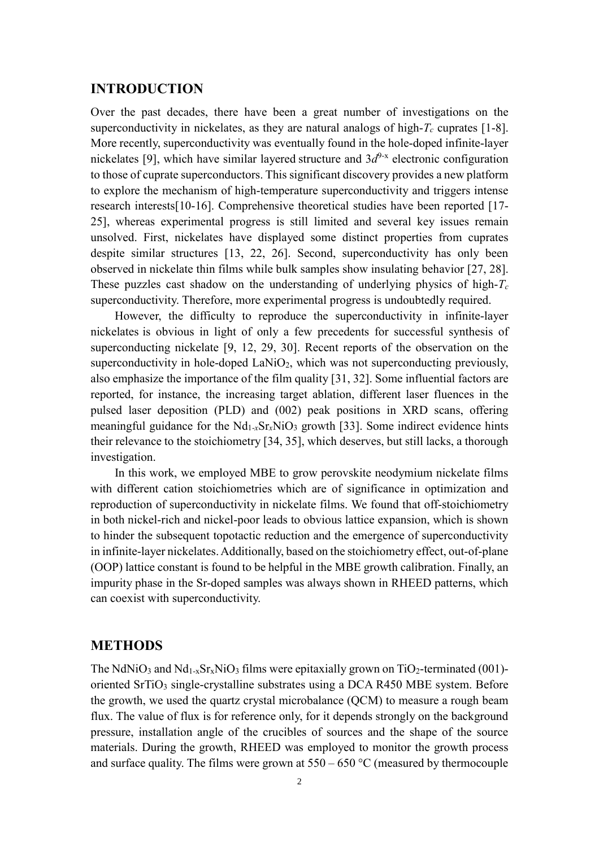### **INTRODUCTION**

Over the past decades, there have been a great number of investigations on the superconductivity in nickelates, as they are natural analogs of high- $T_c$  cuprates [1-8]. More recently, superconductivity was eventually found in the hole-doped infinite-layer nickelates [9], which have similar layered structure and  $3d<sup>9-x</sup>$  electronic configuration to those of cuprate superconductors. This significant discovery provides a new platform to explore the mechanism of high-temperature superconductivity and triggers intense research interests[10-16]. Comprehensive theoretical studies have been reported [17- 25], whereas experimental progress is still limited and several key issues remain unsolved. First, nickelates have displayed some distinct properties from cuprates despite similar structures [13, 22, 26]. Second, superconductivity has only been observed in nickelate thin films while bulk samples show insulating behavior [27, 28]. These puzzles cast shadow on the understanding of underlying physics of high-*T<sup>c</sup>* superconductivity. Therefore, more experimental progress is undoubtedly required.

However, the difficulty to reproduce the superconductivity in infinite-layer nickelates is obvious in light of only a few precedents for successful synthesis of superconducting nickelate [9, 12, 29, 30]. Recent reports of the observation on the superconductivity in hole-doped  $\text{LaNiO}_2$ , which was not superconducting previously, also emphasize the importance of the film quality [31, 32]. Some influential factors are reported, for instance, the increasing target ablation, different laser fluences in the pulsed laser deposition (PLD) and (002) peak positions in XRD scans, offering meaningful guidance for the  $Nd_{1-x}Sr_xNiO_3$  growth [33]. Some indirect evidence hints their relevance to the stoichiometry [34, 35], which deserves, but still lacks, a thorough investigation.

In this work, we employed MBE to grow perovskite neodymium nickelate films with different cation stoichiometries which are of significance in optimization and reproduction of superconductivity in nickelate films. We found that off-stoichiometry in both nickel-rich and nickel-poor leads to obvious lattice expansion, which is shown to hinder the subsequent topotactic reduction and the emergence of superconductivity in infinite-layer nickelates. Additionally, based on the stoichiometry effect, out-of-plane (OOP) lattice constant is found to be helpful in the MBE growth calibration. Finally, an impurity phase in the Sr-doped samples was always shown in RHEED patterns, which can coexist with superconductivity.

#### **METHODS**

The NdNiO<sub>3</sub> and Nd<sub>1-x</sub>Sr<sub>x</sub>NiO<sub>3</sub> films were epitaxially grown on TiO<sub>2</sub>-terminated (001)oriented SrTiO<sub>3</sub> single-crystalline substrates using a DCA R450 MBE system. Before the growth, we used the quartz crystal microbalance (QCM) to measure a rough beam flux. The value of flux is for reference only, for it depends strongly on the background pressure, installation angle of the crucibles of sources and the shape of the source materials. During the growth, RHEED was employed to monitor the growth process and surface quality. The films were grown at  $550 - 650$  °C (measured by thermocouple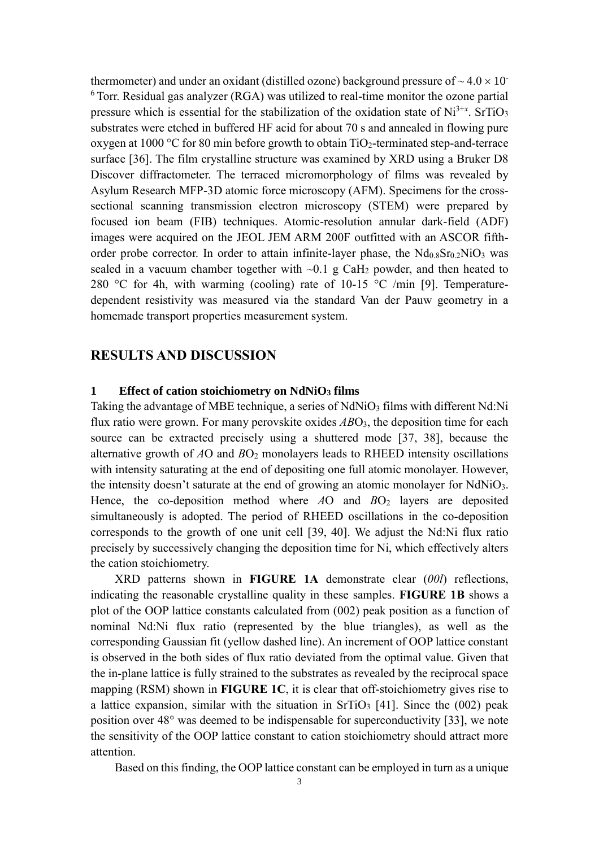thermometer) and under an oxidant (distilled ozone) background pressure of  $\sim 4.0 \times 10^{-1}$  $6$  Torr. Residual gas analyzer (RGA) was utilized to real-time monitor the ozone partial pressure which is essential for the stabilization of the oxidation state of Ni<sup>3+x</sup>. SrTiO<sub>3</sub> substrates were etched in buffered HF acid for about 70 s and annealed in flowing pure oxygen at 1000 °C for 80 min before growth to obtain  $TiO<sub>2</sub>$ -terminated step-and-terrace surface [36]. The film crystalline structure was examined by XRD using a Bruker D8 Discover diffractometer. The terraced micromorphology of films was revealed by Asylum Research MFP-3D atomic force microscopy (AFM). Specimens for the crosssectional scanning transmission electron microscopy (STEM) were prepared by focused ion beam (FIB) techniques. Atomic-resolution annular dark-field (ADF) images were acquired on the JEOL JEM ARM 200F outfitted with an ASCOR fifthorder probe corrector. In order to attain infinite-layer phase, the  $Nd<sub>0.8</sub>Sr<sub>0.2</sub>NiO<sub>3</sub>$  was sealed in a vacuum chamber together with  $\sim 0.1$  g CaH<sub>2</sub> powder, and then heated to 280 °C for 4h, with warming (cooling) rate of 10-15 °C /min [9]. Temperaturedependent resistivity was measured via the standard Van der Pauw geometry in a homemade transport properties measurement system.

### **RESULTS AND DISCUSSION**

### **1 Effect of cation stoichiometry on NdNiO<sup>3</sup> films**

Taking the advantage of MBE technique, a series of  $NdNiO<sub>3</sub>$  films with different  $Nd:Ni$ flux ratio were grown. For many perovskite oxides *AB*O<sub>3</sub>, the deposition time for each source can be extracted precisely using a shuttered mode [37, 38], because the alternative growth of *A*O and *B*O<sub>2</sub> monolayers leads to RHEED intensity oscillations with intensity saturating at the end of depositing one full atomic monolayer. However, the intensity doesn't saturate at the end of growing an atomic monolayer for NdNiO3. Hence, the co-deposition method where *A*O and *BO*<sub>2</sub> layers are deposited simultaneously is adopted. The period of RHEED oscillations in the co-deposition corresponds to the growth of one unit cell [39, 40]. We adjust the Nd:Ni flux ratio precisely by successively changing the deposition time for Ni, which effectively alters the cation stoichiometry.

XRD patterns shown in **FIGURE 1A** demonstrate clear (*00l*) reflections, indicating the reasonable crystalline quality in these samples. **FIGURE 1B** shows a plot of the OOP lattice constants calculated from (002) peak position as a function of nominal Nd:Ni flux ratio (represented by the blue triangles), as well as the corresponding Gaussian fit (yellow dashed line). An increment of OOP lattice constant is observed in the both sides of flux ratio deviated from the optimal value. Given that the in-plane lattice is fully strained to the substrates as revealed by the reciprocal space mapping (RSM) shown in **FIGURE 1C**, it is clear that off-stoichiometry gives rise to a lattice expansion, similar with the situation in  $SrTiO<sub>3</sub>$  [41]. Since the (002) peak position over 48° was deemed to be indispensable for superconductivity [33], we note the sensitivity of the OOP lattice constant to cation stoichiometry should attract more attention.

Based on this finding, the OOP lattice constant can be employed in turn as a unique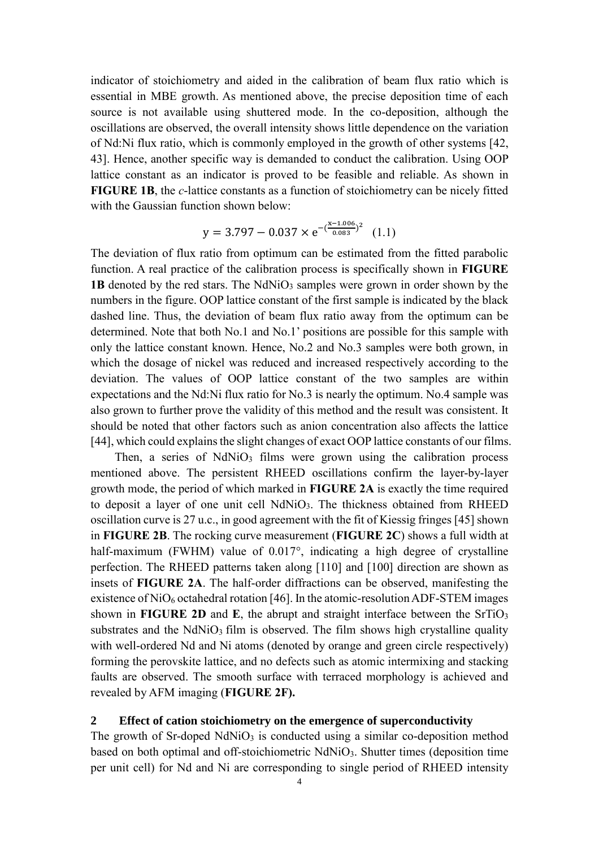indicator of stoichiometry and aided in the calibration of beam flux ratio which is essential in MBE growth. As mentioned above, the precise deposition time of each source is not available using shuttered mode. In the co-deposition, although the oscillations are observed, the overall intensity shows little dependence on the variation of Nd:Ni flux ratio, which is commonly employed in the growth of other systems [42, 43]. Hence, another specific way is demanded to conduct the calibration. Using OOP lattice constant as an indicator is proved to be feasible and reliable. As shown in **FIGURE 1B**, the *c*-lattice constants as a function of stoichiometry can be nicely fitted with the Gaussian function shown below:

$$
y = 3.797 - 0.037 \times e^{-(\frac{x - 1.006}{0.083})^2}
$$
 (1.1)

The deviation of flux ratio from optimum can be estimated from the fitted parabolic function. A real practice of the calibration process is specifically shown in **FIGURE 1B** denoted by the red stars. The  $NdNiO<sub>3</sub>$  samples were grown in order shown by the numbers in the figure. OOP lattice constant of the first sample is indicated by the black dashed line. Thus, the deviation of beam flux ratio away from the optimum can be determined. Note that both No.1 and No.1' positions are possible for this sample with only the lattice constant known. Hence, No.2 and No.3 samples were both grown, in which the dosage of nickel was reduced and increased respectively according to the deviation. The values of OOP lattice constant of the two samples are within expectations and the Nd:Ni flux ratio for No.3 is nearly the optimum. No.4 sample was also grown to further prove the validity of this method and the result was consistent. It should be noted that other factors such as anion concentration also affects the lattice [44], which could explains the slight changes of exact OOP lattice constants of our films.

Then, a series of  $NdNiO<sub>3</sub>$  films were grown using the calibration process mentioned above. The persistent RHEED oscillations confirm the layer-by-layer growth mode, the period of which marked in **FIGURE 2A** is exactly the time required to deposit a layer of one unit cell NdNiO3. The thickness obtained from RHEED oscillation curve is 27 u.c., in good agreement with the fit of Kiessig fringes [45] shown in **FIGURE 2B**. The rocking curve measurement (**FIGURE 2C**) shows a full width at half-maximum (FWHM) value of 0.017°, indicating a high degree of crystalline perfection. The RHEED patterns taken along [110] and [100] direction are shown as insets of **FIGURE 2A**. The half-order diffractions can be observed, manifesting the existence of  $NiO_6$  octahedral rotation [46]. In the atomic-resolution ADF-STEM images shown in **FIGURE** 2D and **E**, the abrupt and straight interface between the  $SrTiO<sub>3</sub>$ substrates and the  $NdNiO<sub>3</sub>$  film is observed. The film shows high crystalline quality with well-ordered Nd and Ni atoms (denoted by orange and green circle respectively) forming the perovskite lattice, and no defects such as atomic intermixing and stacking faults are observed. The smooth surface with terraced morphology is achieved and revealed by AFM imaging (**FIGURE 2F).**

### **2 Effect of cation stoichiometry on the emergence of superconductivity**

The growth of Sr-doped  $NdNiO<sub>3</sub>$  is conducted using a similar co-deposition method based on both optimal and off-stoichiometric NdNiO3. Shutter times (deposition time per unit cell) for Nd and Ni are corresponding to single period of RHEED intensity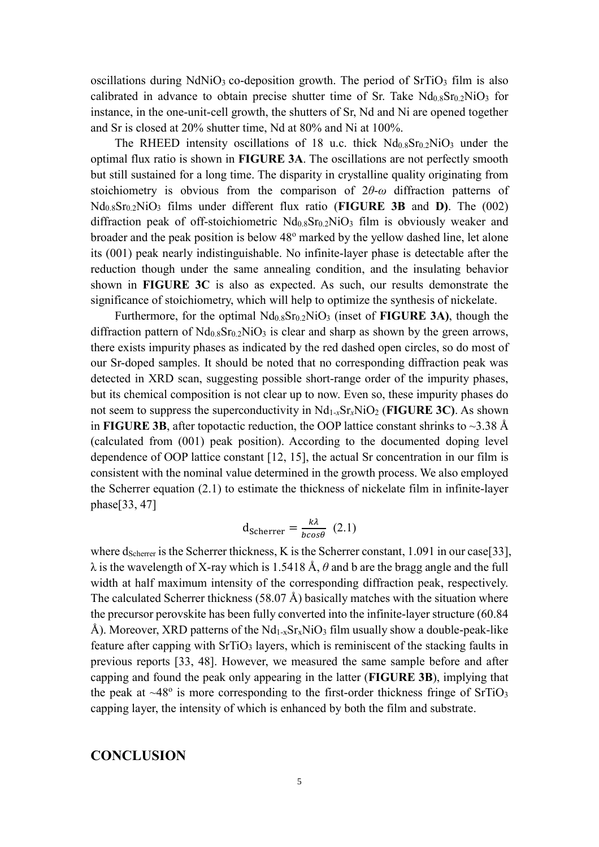oscillations during  $NdNiO<sub>3</sub>$  co-deposition growth. The period of  $SrTiO<sub>3</sub>$  film is also calibrated in advance to obtain precise shutter time of Sr. Take  $Nd<sub>0.8</sub>Sr<sub>0.2</sub>NiO<sub>3</sub>$  for instance, in the one-unit-cell growth, the shutters of Sr, Nd and Ni are opened together and Sr is closed at 20% shutter time, Nd at 80% and Ni at 100%.

The RHEED intensity oscillations of 18 u.c. thick  $Nd<sub>0.8</sub>Sr<sub>0.2</sub>NiO<sub>3</sub>$  under the optimal flux ratio is shown in **FIGURE 3A**. The oscillations are not perfectly smooth but still sustained for a long time. The disparity in crystalline quality originating from stoichiometry is obvious from the comparison of 2*θ*-*ω* diffraction patterns of Nd0.8Sr0.2NiO<sup>3</sup> films under different flux ratio (**FIGURE 3B** and **D)**. The (002) diffraction peak of off-stoichiometric  $Nd_{0.8}Sr_{0.2}NiO<sub>3</sub>$  film is obviously weaker and broader and the peak position is below 48<sup>o</sup> marked by the yellow dashed line, let alone its (001) peak nearly indistinguishable. No infinite-layer phase is detectable after the reduction though under the same annealing condition, and the insulating behavior shown in **FIGURE 3C** is also as expected. As such, our results demonstrate the significance of stoichiometry, which will help to optimize the synthesis of nickelate.

Furthermore, for the optimal Nd0.8Sr0.2NiO<sup>3</sup> (inset of **FIGURE 3A)**, though the diffraction pattern of  $Nd<sub>0.8</sub>Sr<sub>0.2</sub>NiO<sub>3</sub>$  is clear and sharp as shown by the green arrows, there exists impurity phases as indicated by the red dashed open circles, so do most of our Sr-doped samples. It should be noted that no corresponding diffraction peak was detected in XRD scan, suggesting possible short-range order of the impurity phases, but its chemical composition is not clear up to now. Even so, these impurity phases do not seem to suppress the superconductivity in  $Nd_{1-x}Sr_xNiO_2$  (**FIGURE 3C**). As shown in **FIGURE 3B**, after topotactic reduction, the OOP lattice constant shrinks to  $\sim$ 3.38 Å (calculated from (001) peak position). According to the documented doping level dependence of OOP lattice constant [12, 15], the actual Sr concentration in our film is consistent with the nominal value determined in the growth process. We also employed the Scherrer equation (2.1) to estimate the thickness of nickelate film in infinite-layer phase[33, 47]

$$
d_{\text{Scherrer}} = \frac{k\lambda}{bcos\theta} \tag{2.1}
$$

where dscherrer is the Scherrer thickness, K is the Scherrer constant,  $1.091$  in our case[33], λ is the wavelength of X-ray which is 1.5418 Å, *θ* and b are the bragg angle and the full width at half maximum intensity of the corresponding diffraction peak, respectively. The calculated Scherrer thickness (58.07 Å) basically matches with the situation where the precursor perovskite has been fully converted into the infinite-layer structure (60.84 Å). Moreover, XRD patterns of the  $Nd_{1-x}Sr_xNiO_3$  film usually show a double-peak-like feature after capping with  $SrTiO<sub>3</sub>$  layers, which is reminiscent of the stacking faults in previous reports [33, 48]. However, we measured the same sample before and after capping and found the peak only appearing in the latter (**FIGURE 3B**), implying that the peak at  $\sim$ 48° is more corresponding to the first-order thickness fringe of SrTiO<sub>3</sub> capping layer, the intensity of which is enhanced by both the film and substrate.

## **CONCLUSION**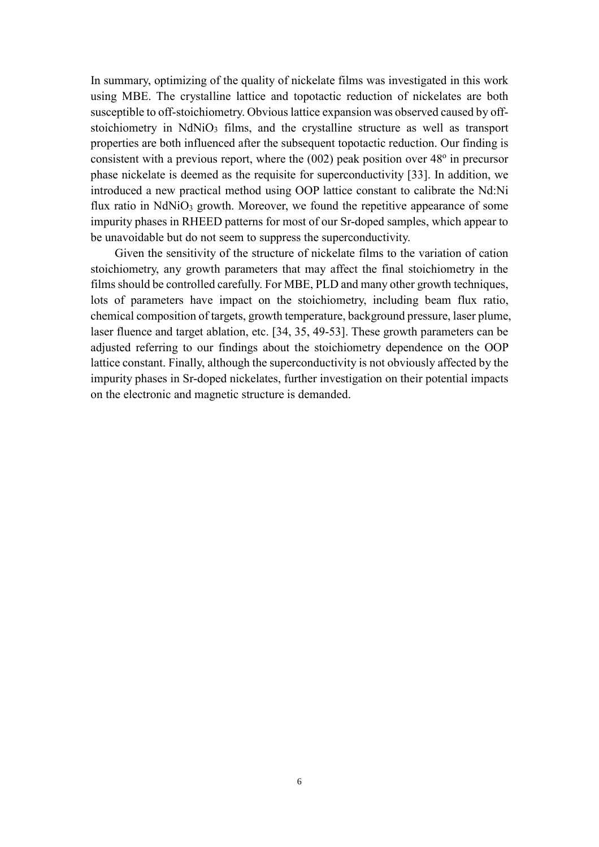In summary, optimizing of the quality of nickelate films was investigated in this work using MBE. The crystalline lattice and topotactic reduction of nickelates are both susceptible to off-stoichiometry. Obvious lattice expansion was observed caused by offstoichiometry in NdNiO<sub>3</sub> films, and the crystalline structure as well as transport properties are both influenced after the subsequent topotactic reduction. Our finding is consistent with a previous report, where the  $(002)$  peak position over  $48^{\circ}$  in precursor phase nickelate is deemed as the requisite for superconductivity [33]. In addition, we introduced a new practical method using OOP lattice constant to calibrate the Nd:Ni flux ratio in  $NdNiO<sub>3</sub>$  growth. Moreover, we found the repetitive appearance of some impurity phases in RHEED patterns for most of our Sr-doped samples, which appear to be unavoidable but do not seem to suppress the superconductivity.

Given the sensitivity of the structure of nickelate films to the variation of cation stoichiometry, any growth parameters that may affect the final stoichiometry in the films should be controlled carefully. For MBE, PLD and many other growth techniques, lots of parameters have impact on the stoichiometry, including beam flux ratio, chemical composition of targets, growth temperature, background pressure, laser plume, laser fluence and target ablation, etc. [34, 35, 49-53]. These growth parameters can be adjusted referring to our findings about the stoichiometry dependence on the OOP lattice constant. Finally, although the superconductivity is not obviously affected by the impurity phases in Sr-doped nickelates, further investigation on their potential impacts on the electronic and magnetic structure is demanded.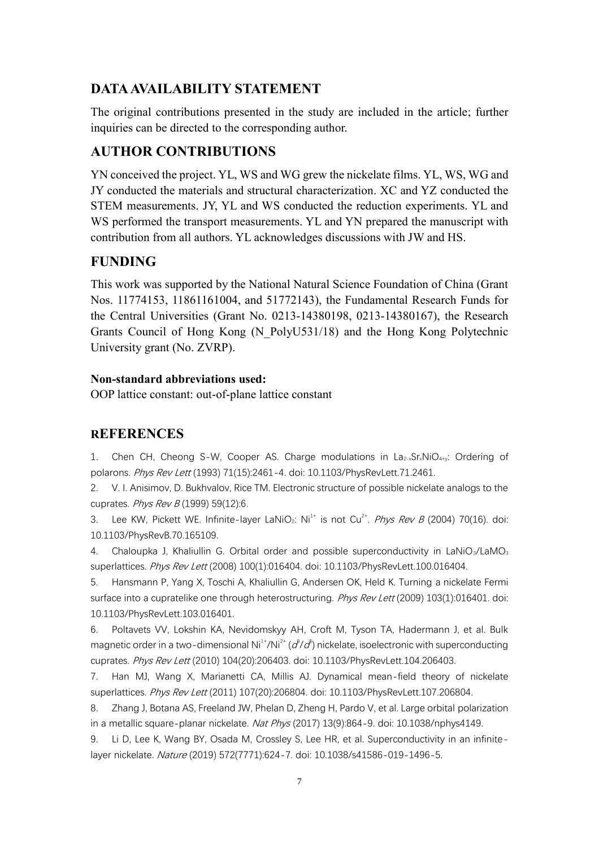## **DATA AVAILABILITY STATEMENT**

The original contributions presented in the study are included in the article; further inquiries can be directed to the corresponding author.

# **AUTHOR CONTRIBUTIONS**

YN conceived the project. YL, WS and WG grew the nickelate films. YL, WS, WG and JY conducted the materials and structural characterization. XC and YZ conducted the STEM measurements. JY, YL and WS conducted the reduction experiments. YL and WS performed the transport measurements. YL and YN prepared the manuscript with contribution from all authors. YL acknowledges discussions with JW and HS.

# **FUNDING**

This work was supported by the National Natural Science Foundation of China (Grant Nos. 11774153, 11861161004, and 51772143), the Fundamental Research Funds for the Central Universities (Grant No. 0213-14380198, 0213-14380167), the Research Grants Council of Hong Kong (N\_PolyU531/18) and the Hong Kong Polytechnic University grant (No. ZVRP).

## **Non-standard abbreviations used:**

OOP lattice constant: out-of-plane lattice constant

## **REFERENCES**

1. Chen CH, Cheong S-W, Cooper AS. Charge modulations in  $La_{2-x}Sr_xNiO_{4+y}$ : Ordering of polarons. Phys Rev Lett (1993) 71(15):2461-4. doi: 10.1103/PhysRevLett.71.2461.

2. V. I. Anisimov, D. Bukhvalov, Rice TM. Electronic structure of possible nickelate analogs to the cuprates. Phys Rev B (1999) 59(12):6.

3. Lee KW, Pickett WE. Infinite-layer LaNiO<sub>2</sub>: Ni<sup>1+</sup> is not Cu<sup>2+</sup>. *Phys Rev B* (2004) 70(16). doi: 10.1103/PhysRevB.70.165109.

4. Chaloupka J, Khaliullin G. Orbital order and possible superconductivity in LaNiO<sub>3</sub>/LaMO<sub>3</sub> superlattices. Phys Rev Lett (2008) 100(1):016404. doi: 10.1103/PhysRevLett.100.016404.

5. Hansmann P, Yang X, Toschi A, Khaliullin G, Andersen OK, Held K. Turning a nickelate Fermi surface into a cupratelike one through heterostructuring. Phys Rev Lett (2009) 103(1):016401. doi: 10.1103/PhysRevLett.103.016401.

6. Poltavets VV, Lokshin KA, Nevidomskyy AH, Croft M, Tyson TA, Hadermann J, et al. Bulk magnetic order in a two-dimensional Ni $^{\text{1+}}$ /Ni $^{\text{2+}}$  ( $\text{d}^{\text{2}}$ / $\text{d}^{\text{P}}$ ) nickelate, isoelectronic with superconducting cuprates. Phys Rev Lett (2010) 104(20):206403. doi: 10.1103/PhysRevLett.104.206403.

7. Han MJ, Wang X, Marianetti CA, Millis AJ. Dynamical mean-field theory of nickelate superlattices. Phys Rev Lett (2011) 107(20):206804. doi: 10.1103/PhysRevLett.107.206804.

8. Zhang J, Botana AS, Freeland JW, Phelan D, Zheng H, Pardo V, et al. Large orbital polarization in a metallic square-planar nickelate. Nat Phys (2017) 13(9):864-9. doi: 10.1038/nphys4149.

Li D, Lee K, Wang BY, Osada M, Crossley S, Lee HR, et al. Superconductivity in an infinitelayer nickelate. Nature (2019) 572(7771):624-7. doi: 10.1038/s41586-019-1496-5.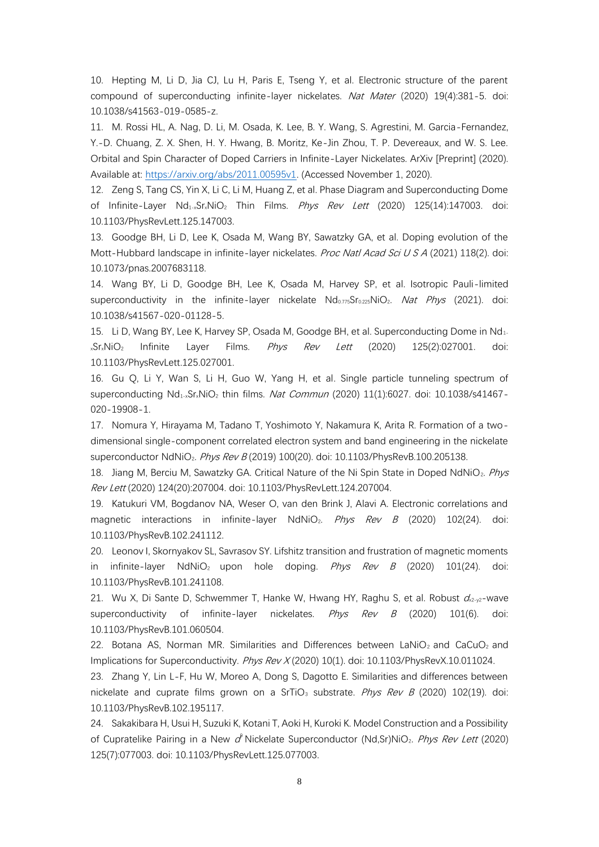10. Hepting M, Li D, Jia CJ, Lu H, Paris E, Tseng Y, et al. Electronic structure of the parent compound of superconducting infinite-layer nickelates. Nat Mater (2020) 19(4):381-5. doi: 10.1038/s41563-019-0585-z.

11. M. Rossi HL, A. Nag, D. Li, M. Osada, K. Lee, B. Y. Wang, S. Agrestini, M. Garcia-Fernandez, Y.-D. Chuang, Z. X. Shen, H. Y. Hwang, B. Moritz, Ke-Jin Zhou, T. P. Devereaux, and W. S. Lee. Orbital and Spin Character of Doped Carriers in Infinite-Layer Nickelates. ArXiv [Preprint] (2020). Available at: [https://arxiv.org/abs/2011.00595v1.](https://arxiv.org/abs/2011.00595v1) (Accessed November 1, 2020).

12. Zeng S, Tang CS, Yin X, Li C, Li M, Huang Z, et al. Phase Diagram and Superconducting Dome of Infinite-Layer  $Nd_{1-x}Sr_xNiO_2$  Thin Films. *Phys Rev Lett* (2020) 125(14):147003. doi: 10.1103/PhysRevLett.125.147003.

13. Goodge BH, Li D, Lee K, Osada M, Wang BY, Sawatzky GA, et al. Doping evolution of the Mott-Hubbard landscape in infinite-layer nickelates. Proc Natl Acad Sci U S A (2021) 118(2). doi: 10.1073/pnas.2007683118.

14. Wang BY, Li D, Goodge BH, Lee K, Osada M, Harvey SP, et al. Isotropic Pauli-limited superconductivity in the infinite-layer nickelate  $Nd_{0.775}Sr_{0.225}NiO<sub>2</sub>$ . Nat Phys (2021). doi: 10.1038/s41567-020-01128-5.

15. Li D, Wang BY, Lee K, Harvey SP, Osada M, Goodge BH, et al. Superconducting Dome in Nd<sub>1</sub>.  $x\text{Sr}_x\text{NiO}_2$  Infinite Layer Films. *Phys Rev Lett* (2020) 125(2):027001. doi: 10.1103/PhysRevLett.125.027001.

16. Gu Q, Li Y, Wan S, Li H, Guo W, Yang H, et al. Single particle tunneling spectrum of superconducting  $Nd_{1-x}Sr_xNiO_2$  thin films. *Nat Commun* (2020) 11(1):6027. doi: 10.1038/s41467-020-19908-1.

17. Nomura Y, Hirayama M, Tadano T, Yoshimoto Y, Nakamura K, Arita R. Formation of a twodimensional single-component correlated electron system and band engineering in the nickelate superconductor NdNiO<sub>2</sub>. Phys Rev B (2019) 100(20). doi: 10.1103/PhysRevB.100.205138.

18. Jiang M, Berciu M, Sawatzky GA. Critical Nature of the Ni Spin State in Doped NdNiO<sub>2</sub>. Phys Rev Lett (2020) 124(20):207004. doi: 10.1103/PhysRevLett.124.207004.

19. Katukuri VM, Bogdanov NA, Weser O, van den Brink J, Alavi A. Electronic correlations and magnetic interactions in infinite-layer NdNiO<sub>2</sub>. Phys Rev B (2020) 102(24). doi: 10.1103/PhysRevB.102.241112.

20. Leonov I, Skornyakov SL, Savrasov SY. Lifshitz transition and frustration of magnetic moments in infinite-layer NdNiO<sub>2</sub> upon hole doping. *Phys Rev B* (2020) 101(24). doi: 10.1103/PhysRevB.101.241108.

21. Wu X, Di Sante D, Schwemmer T, Hanke W, Hwang HY, Raghu S, et al. Robust  $d_{x_2-y_2}$ -wave superconductivity of infinite-layer nickelates.  $Phys$   $Rev$   $B$  (2020) 101(6). doi: 10.1103/PhysRevB.101.060504.

22. Botana AS, Norman MR. Similarities and Differences between LaNiO<sub>2</sub> and CaCuO<sub>2</sub> and Implications for Superconductivity. Phys Rev X (2020) 10(1). doi: 10.1103/PhysRevX.10.011024.

23. Zhang Y, Lin L-F, Hu W, Moreo A, Dong S, Dagotto E. Similarities and differences between nickelate and cuprate films grown on a SrTiO<sub>3</sub> substrate. Phys Rev B (2020) 102(19). doi: 10.1103/PhysRevB.102.195117.

24. Sakakibara H, Usui H, Suzuki K, Kotani T, Aoki H, Kuroki K. Model Construction and a Possibility of Cupratelike Pairing in a New o<sup>p</sup> Nickelate Superconductor (Nd,Sr)NiO<sub>2</sub>. Phys Rev Lett (2020) 125(7):077003. doi: 10.1103/PhysRevLett.125.077003.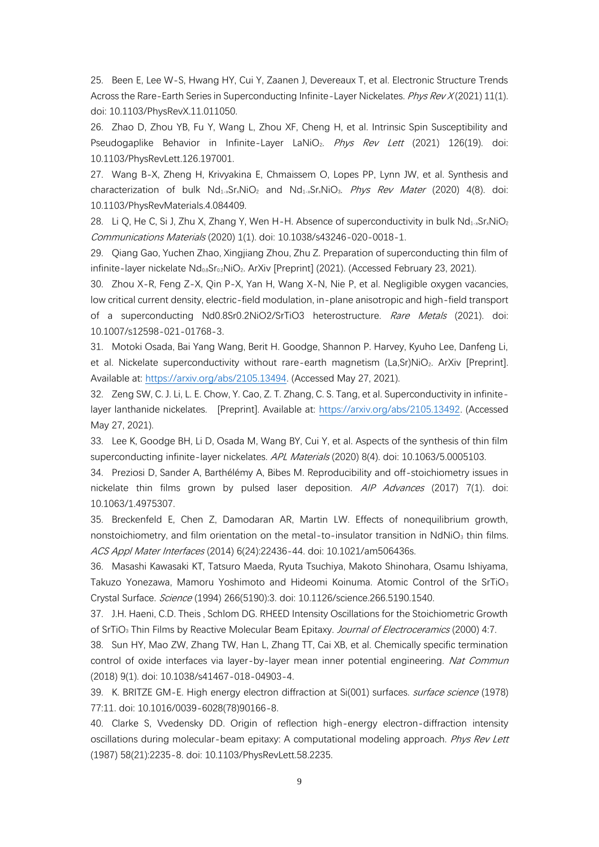25. Been E, Lee W-S, Hwang HY, Cui Y, Zaanen J, Devereaux T, et al. Electronic Structure Trends Across the Rare-Earth Series in Superconducting Infinite-Layer Nickelates. Phys Rev X (2021) 11(1). doi: 10.1103/PhysRevX.11.011050.

26. Zhao D, Zhou YB, Fu Y, Wang L, Zhou XF, Cheng H, et al. Intrinsic Spin Susceptibility and Pseudogaplike Behavior in Infinite-Layer LaNiO<sub>2</sub>. Phys Rev Lett (2021) 126(19). doi: 10.1103/PhysRevLett.126.197001.

27. Wang B-X, Zheng H, Krivyakina E, Chmaissem O, Lopes PP, Lynn JW, et al. Synthesis and characterization of bulk  $Nd_{1-x}Sr_xNiO_2$  and  $Nd_{1-x}Sr_xNiO_3$ . Phys Rev Mater (2020) 4(8). doi: 10.1103/PhysRevMaterials.4.084409.

28. Li Q, He C, Si J, Zhu X, Zhang Y, Wen H-H. Absence of superconductivity in bulk Nd<sub>1</sub>-xSr<sub>x</sub>NiO<sub>2</sub> Communications Materials (2020) 1(1). doi: 10.1038/s43246-020-0018-1.

29. Qiang Gao, Yuchen Zhao, Xingjiang Zhou, Zhu Z. Preparation of superconducting thin film of infinite-layer nickelate Nd<sub>08</sub>Sr<sub>02</sub>NiO<sub>2</sub>. ArXiv [Preprint] (2021). (Accessed February 23, 2021).

30. Zhou X-R, Feng Z-X, Qin P-X, Yan H, Wang X-N, Nie P, et al. Negligible oxygen vacancies, low critical current density, electric-field modulation, in-plane anisotropic and high-field transport of a superconducting Nd0.8Sr0.2NiO2/SrTiO3 heterostructure. Rare Metals (2021). doi: 10.1007/s12598-021-01768-3.

31. Motoki Osada, Bai Yang Wang, Berit H. Goodge, Shannon P. Harvey, Kyuho Lee, Danfeng Li, et al. Nickelate superconductivity without rare-earth magnetism (La,Sr)NiO<sub>2</sub>. ArXiv [Preprint]. Available at: [https://arxiv.org/abs/2105.13494.](https://arxiv.org/abs/2105.13494) (Accessed May 27, 2021).

32. Zeng SW, C. J. Li, L. E. Chow, Y. Cao, Z. T. Zhang, C. S. Tang, et al. Superconductivity in infinitelayer lanthanide nickelates. [Preprint]. Available at: [https://arxiv.org/abs/2105.13492.](https://arxiv.org/abs/2105.13492) (Accessed May 27, 2021).

33. Lee K, Goodge BH, Li D, Osada M, Wang BY, Cui Y, et al. Aspects of the synthesis of thin film superconducting infinite-layer nickelates. APL Materials (2020) 8(4). doi: 10.1063/5.0005103.

34. Preziosi D, Sander A, Barthélémy A, Bibes M. Reproducibility and off-stoichiometry issues in nickelate thin films grown by pulsed laser deposition. AIP Advances (2017) 7(1). doi: 10.1063/1.4975307.

35. Breckenfeld E, Chen Z, Damodaran AR, Martin LW. Effects of nonequilibrium growth, nonstoichiometry, and film orientation on the metal-to-insulator transition in  $NdNiO<sub>3</sub>$  thin films. ACS Appl Mater Interfaces (2014) 6(24):22436-44. doi: 10.1021/am506436s.

36. Masashi Kawasaki KT, Tatsuro Maeda, Ryuta Tsuchiya, Makoto Shinohara, Osamu Ishiyama, Takuzo Yonezawa, Mamoru Yoshimoto and Hideomi Koinuma. Atomic Control of the SrTiO<sub>3</sub> Crystal Surface. Science (1994) 266(5190):3. doi: 10.1126/science.266.5190.1540.

37. J.H. Haeni, C.D. Theis , Schlom DG. RHEED Intensity Oscillations for the Stoichiometric Growth of SrTiO<sub>3</sub> Thin Films by Reactive Molecular Beam Epitaxy. Journal of Electroceramics (2000) 4:7.

38. Sun HY, Mao ZW, Zhang TW, Han L, Zhang TT, Cai XB, et al. Chemically specific termination control of oxide interfaces via layer-by-layer mean inner potential engineering. Nat Commun (2018) 9(1). doi: 10.1038/s41467-018-04903-4.

39. K. BRITZE GM-E. High energy electron diffraction at Si(001) surfaces. *surface science* (1978) 77:11. doi: 10.1016/0039-6028(78)90166-8.

40. Clarke S, Vvedensky DD. Origin of reflection high-energy electron-diffraction intensity oscillations during molecular-beam epitaxy: A computational modeling approach. Phys Rev Lett (1987) 58(21):2235-8. doi: 10.1103/PhysRevLett.58.2235.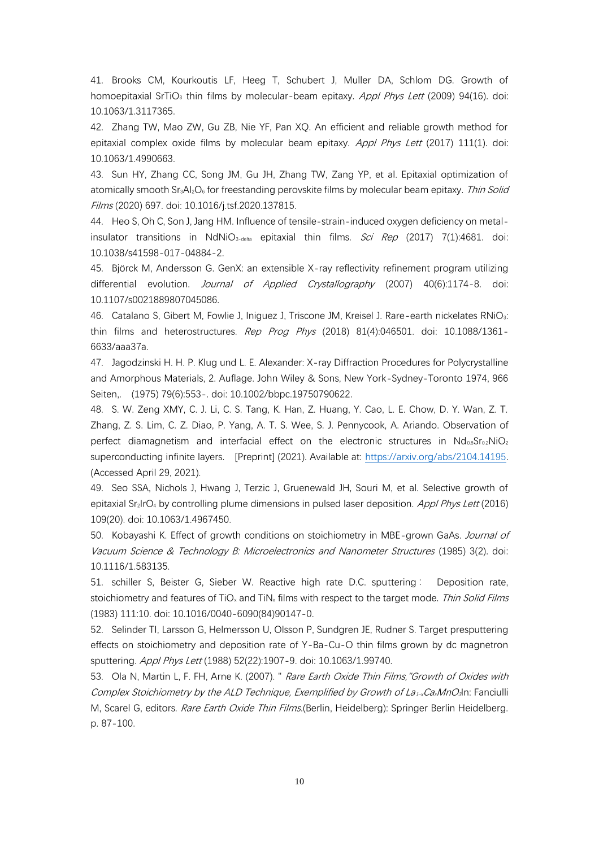41. Brooks CM, Kourkoutis LF, Heeg T, Schubert J, Muller DA, Schlom DG. Growth of homoepitaxial SrTiO<sub>3</sub> thin films by molecular-beam epitaxy. Appl Phys Lett (2009) 94(16). doi: 10.1063/1.3117365.

42. Zhang TW, Mao ZW, Gu ZB, Nie YF, Pan XQ. An efficient and reliable growth method for epitaxial complex oxide films by molecular beam epitaxy. Appl Phys Lett (2017) 111(1). doi: 10.1063/1.4990663.

43. Sun HY, Zhang CC, Song JM, Gu JH, Zhang TW, Zang YP, et al. Epitaxial optimization of atomically smooth Sr<sub>3</sub>Al<sub>2</sub>O<sub>6</sub> for freestanding perovskite films by molecular beam epitaxy. Thin Solid Films (2020) 697. doi: 10.1016/j.tsf.2020.137815.

44. Heo S, Oh C, Son J, Jang HM. Influence of tensile-strain-induced oxygen deficiency on metalinsulator transitions in NdNiO<sub>3-delta</sub> epitaxial thin films. Sci Rep (2017) 7(1):4681. doi: 10.1038/s41598-017-04884-2.

45. Björck M, Andersson G. GenX: an extensible X-ray reflectivity refinement program utilizing differential evolution. *Journal of Applied Crystallography* (2007) 40(6):1174-8. doi: 10.1107/s0021889807045086.

46. Catalano S, Gibert M, Fowlie J, Iniguez J, Triscone JM, Kreisel J. Rare-earth nickelates RNiO3: thin films and heterostructures. Rep Prog Phys (2018) 81(4):046501. doi: 10.1088/1361-6633/aaa37a.

47. Jagodzinski H. H. P. Klug und L. E. Alexander: X-ray Diffraction Procedures for Polycrystalline and Amorphous Materials, 2. Auflage. John Wiley & Sons, New York-Sydney-Toronto 1974, 966 Seiten,. (1975) 79(6):553-. doi: 10.1002/bbpc.19750790622.

48. S. W. Zeng XMY, C. J. Li, C. S. Tang, K. Han, Z. Huang, Y. Cao, L. E. Chow, D. Y. Wan, Z. T. Zhang, Z. S. Lim, C. Z. Diao, P. Yang, A. T. S. Wee, S. J. Pennycook, A. Ariando. Observation of perfect diamagnetism and interfacial effect on the electronic structures in  $Nd_{0.8}Sr_{0.2}NiO<sub>2</sub>$ superconducting infinite layers. [Preprint] (2021). Available at: [https://arxiv.org/abs/2104.14195.](https://arxiv.org/abs/2104.14195) (Accessed April 29, 2021).

49. Seo SSA, Nichols J, Hwang J, Terzic J, Gruenewald JH, Souri M, et al. Selective growth of epitaxial Sr<sub>2</sub>IrO<sub>4</sub> by controlling plume dimensions in pulsed laser deposition. Appl Phys Lett (2016) 109(20). doi: 10.1063/1.4967450.

50. Kobayashi K. Effect of growth conditions on stoichiometry in MBE-grown GaAs. Journal of Vacuum Science & Technology B: Microelectronics and Nanometer Structures (1985) 3(2). doi: 10.1116/1.583135.

51. schiller S, Beister G, Sieber W. Reactive high rate D.C. sputtering : Deposition rate, stoichiometry and features of TiO<sub>x</sub> and TiN<sub>x</sub> films with respect to the target mode. Thin Solid Films (1983) 111:10. doi: 10.1016/0040-6090(84)90147-0.

52. Selinder TI, Larsson G, Helmersson U, Olsson P, Sundgren JE, Rudner S. Target presputtering effects on stoichiometry and deposition rate of Y‐Ba‐Cu‐O thin films grown by dc magnetron sputtering. Appl Phys Lett (1988) 52(22):1907-9. doi: 10.1063/1.99740.

53. Ola N, Martin L, F. FH, Arne K. (2007). " Rare Earth Oxide Thin Films, "Growth of Oxides with Complex Stoichiometry by the ALD Technique, Exemplified by Growth of La<sub>1</sub> and no-3<sup>1</sup>n: Fanciulli M, Scarel G, editors. Rare Earth Oxide Thin Films. (Berlin, Heidelberg): Springer Berlin Heidelberg. p. 87-100.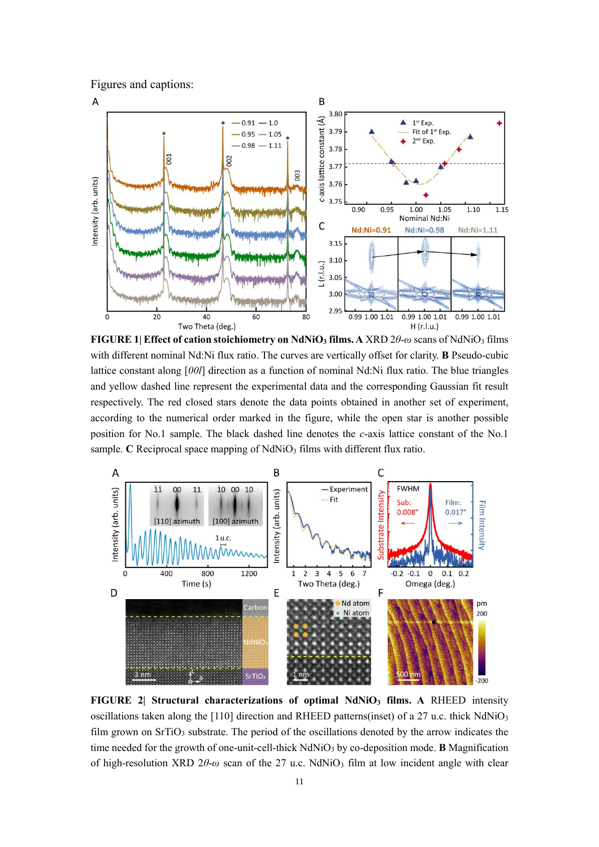Figures and captions:



**FIGURE 1| Effect of cation stoichiometry on NdNiO<sup>3</sup> films. A** XRD 2*θ*-*ω* scans of NdNiO<sup>3</sup> films with different nominal Nd:Ni flux ratio. The curves are vertically offset for clarity. **B** Pseudo-cubic lattice constant along [*00l*] direction as a function of nominal Nd:Ni flux ratio. The blue triangles and yellow dashed line represent the experimental data and the corresponding Gaussian fit result respectively. The red closed stars denote the data points obtained in another set of experiment, according to the numerical order marked in the figure, while the open star is another possible position for No.1 sample. The black dashed line denotes the *c*-axis lattice constant of the No.1 sample. **C** Reciprocal space mapping of NdNiO<sub>3</sub> films with different flux ratio.



**FIGURE 2| Structural characterizations of optimal NdNiO<sup>3</sup> films. A** RHEED intensity oscillations taken along the [110] direction and RHEED patterns(inset) of a 27 u.c. thick  $NdNiO<sub>3</sub>$ film grown on SrTiO<sub>3</sub> substrate. The period of the oscillations denoted by the arrow indicates the time needed for the growth of one-unit-cell-thick NdNiO<sup>3</sup> by co-deposition mode. **B** Magnification of high-resolution XRD 2*θ*-*ω* scan of the 27 u.c. NdNiO<sup>3</sup> film at low incident angle with clear